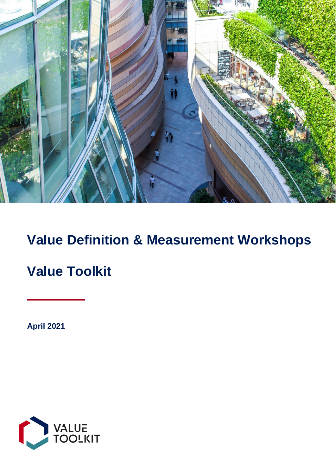

# **Value Definition & Measurement Workshops**

# **Value Toolkit**

**April 2021**

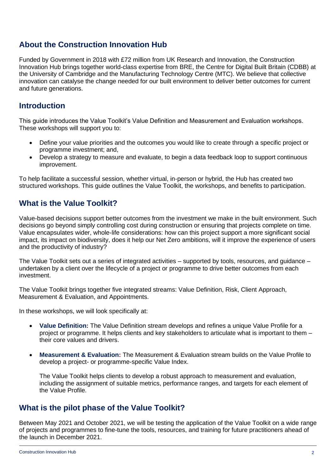# **About the Construction Innovation Hub**

Funded by Government in 2018 with £72 million from UK Research and Innovation, the Construction Innovation Hub brings together world-class expertise from BRE, the Centre for Digital Built Britain (CDBB) at the University of Cambridge and the Manufacturing Technology Centre (MTC). We believe that collective innovation can catalyse the change needed for our built environment to deliver better outcomes for current and future generations.

## **Introduction**

This guide introduces the Value Toolkit's Value Definition and Measurement and Evaluation workshops. These workshops will support you to:

- Define your value priorities and the outcomes you would like to create through a specific project or programme investment; and,
- Develop a strategy to measure and evaluate, to begin a data feedback loop to support continuous improvement.

To help facilitate a successful session, whether virtual, in-person or hybrid, the Hub has created two structured workshops. This guide outlines the Value Toolkit, the workshops, and benefits to participation.

# **What is the Value Toolkit?**

Value-based decisions support better outcomes from the investment we make in the built environment. Such decisions go beyond simply controlling cost during construction or ensuring that projects complete on time. Value encapsulates wider, whole-life considerations: how can this project support a more significant social impact, its impact on biodiversity, does it help our Net Zero ambitions, will it improve the experience of users and the productivity of industry?

The Value Toolkit sets out a series of integrated activities – supported by tools, resources, and guidance – undertaken by a client over the lifecycle of a project or programme to drive better outcomes from each investment.

The Value Toolkit brings together five integrated streams: Value Definition, Risk, Client Approach, Measurement & Evaluation, and Appointments.

In these workshops, we will look specifically at:

- **Value Definition:** The Value Definition stream develops and refines a unique Value Profile for a project or programme. It helps clients and key stakeholders to articulate what is important to them – their core values and drivers.
- **Measurement & Evaluation:** The Measurement & Evaluation stream builds on the Value Profile to develop a project- or programme-specific Value Index.

The Value Toolkit helps clients to develop a robust approach to measurement and evaluation, including the assignment of suitable metrics, performance ranges, and targets for each element of the Value Profile.

## **What is the pilot phase of the Value Toolkit?**

Between May 2021 and October 2021, we will be testing the application of the Value Toolkit on a wide range of projects and programmes to fine-tune the tools, resources, and training for future practitioners ahead of the launch in December 2021.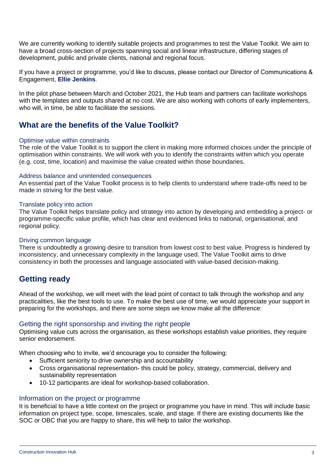We are currently working to identify suitable projects and programmes to test the Value Toolkit. We aim to have a broad cross-section of projects spanning social and linear infrastructure, differing stages of development, public and private clients, national and regional focus.

If you have a project or programme, you'd like to discuss, please contact our Director of Communications & Engagement, **[Ellie Jenkins](mailto:Ellie.Jenkins@constructioninnovationhub.org.uk?subject=Value%20Definition%20and%20Measurement%20Workshops)**.

In the pilot phase between March and October 2021, the Hub team and partners can facilitate workshops with the templates and outputs shared at no cost. We are also working with cohorts of early implementers, who will, in time, be able to facilitate the sessions.

# **What are the benefits of the Value Toolkit?**

#### Optimise value within constraints

The role of the Value Toolkit is to support the client in making more informed choices under the principle of optimisation within constraints. We will work with you to identify the constraints within which you operate (e.g. cost, time, location) and maximise the value created within those boundaries.

#### Address balance and unintended consequences

An essential part of the Value Toolkit process is to help clients to understand where trade-offs need to be made in striving for the best value.

#### Translate policy into action

The Value Toolkit helps translate policy and strategy into action by developing and embedding a project- or programme-specific value profile, which has clear and evidenced links to national, organisational, and regional policy.

#### Driving common language

There is undoubtedly a growing desire to transition from lowest cost to best value. Progress is hindered by inconsistency, and unnecessary complexity in the language used. The Value Toolkit aims to drive consistency in both the processes and language associated with value-based decision-making.

# **Getting ready**

Ahead of the workshop, we will meet with the lead point of contact to talk through the workshop and any practicalities, like the best tools to use. To make the best use of time, we would appreciate your support in preparing for the workshops, and there are some steps we know make all the difference:

#### Getting the right sponsorship and inviting the right people

Optimising value cuts across the organisation, as these workshops establish value priorities, they require senior endorsement.

When choosing who to invite, we'd encourage you to consider the following:

- Sufficient seniority to drive ownership and accountability
- Cross organisational representation- this could be policy, strategy, commercial, delivery and sustainability representation
- 10-12 participants are ideal for workshop-based collaboration.

#### Information on the project or programme

It is beneficial to have a little context on the project or programme you have in mind. This will include basic information on project type, scope, timescales, scale, and stage. If there are existing documents like the SOC or OBC that you are happy to share, this will help to tailor the workshop.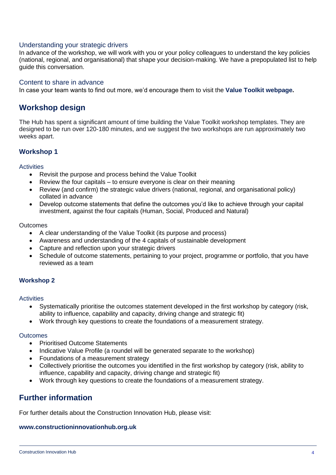#### Understanding your strategic drivers

In advance of the workshop, we will work with you or your policy colleagues to understand the key policies (national, regional, and organisational) that shape your decision-making. We have a prepopulated list to help guide this conversation.

#### Content to share in advance

In case your team wants to find out more, we'd encourage them to visit the **[Value Toolkit webpage.](https://constructioninnovationhub.org.uk/value-toolkit)**

## **Workshop design**

The Hub has spent a significant amount of time building the Value Toolkit workshop templates. They are designed to be run over 120-180 minutes, and we suggest the two workshops are run approximately two weeks apart.

#### **Workshop 1**

#### **Activities**

- Revisit the purpose and process behind the Value Toolkit
- Review the four capitals to ensure everyone is clear on their meaning
- Review (and confirm) the strategic value drivers (national, regional, and organisational policy) collated in advance
- Develop outcome statements that define the outcomes you'd like to achieve through your capital investment, against the four capitals (Human, Social, Produced and Natural)

#### **Outcomes**

- A clear understanding of the Value Toolkit (its purpose and process)
- Awareness and understanding of the 4 capitals of sustainable development
- Capture and reflection upon your strategic drivers
- Schedule of outcome statements, pertaining to your project, programme or portfolio, that you have reviewed as a team

#### **Workshop 2**

#### **Activities**

- Systematically prioritise the outcomes statement developed in the first workshop by category (risk, ability to influence, capability and capacity, driving change and strategic fit)
- Work through key questions to create the foundations of a measurement strategy.

#### **Outcomes**

- Prioritised Outcome Statements
- Indicative Value Profile (a roundel will be generated separate to the workshop)
- Foundations of a measurement strategy
- Collectively prioritise the outcomes you identified in the first workshop by category (risk, ability to influence, capability and capacity, driving change and strategic fit)
- Work through key questions to create the foundations of a measurement strategy.

## **Further information**

For further details about the Construction Innovation Hub, please visit:

#### **[www.constructioninnovationhub.org.uk](http://www.constructioninnovationhub.org.uk/)**